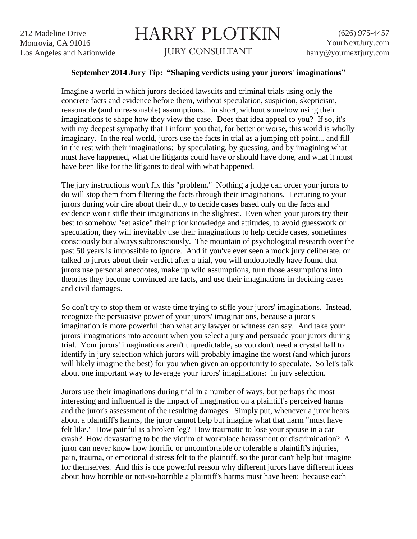## HARRY PLOTKIN

JURY CONSULTANT

## **September 2014 Jury Tip: "Shaping verdicts using your jurors' imaginations"**

Imagine a world in which jurors decided lawsuits and criminal trials using only the concrete facts and evidence before them, without speculation, suspicion, skepticism, reasonable (and unreasonable) assumptions... in short, without somehow using their imaginations to shape how they view the case. Does that idea appeal to you? If so, it's with my deepest sympathy that I inform you that, for better or worse, this world is wholly imaginary. In the real world, jurors use the facts in trial as a jumping off point... and fill in the rest with their imaginations: by speculating, by guessing, and by imagining what must have happened, what the litigants could have or should have done, and what it must have been like for the litigants to deal with what happened.

The jury instructions won't fix this "problem." Nothing a judge can order your jurors to do will stop them from filtering the facts through their imaginations. Lecturing to your jurors during voir dire about their duty to decide cases based only on the facts and evidence won't stifle their imaginations in the slightest. Even when your jurors try their best to somehow "set aside" their prior knowledge and attitudes, to avoid guesswork or speculation, they will inevitably use their imaginations to help decide cases, sometimes consciously but always subconsciously. The mountain of psychological research over the past 50 years is impossible to ignore. And if you've ever seen a mock jury deliberate, or talked to jurors about their verdict after a trial, you will undoubtedly have found that jurors use personal anecdotes, make up wild assumptions, turn those assumptions into theories they become convinced are facts, and use their imaginations in deciding cases and civil damages.

So don't try to stop them or waste time trying to stifle your jurors' imaginations. Instead, recognize the persuasive power of your jurors' imaginations, because a juror's imagination is more powerful than what any lawyer or witness can say. And take your jurors' imaginations into account when you select a jury and persuade your jurors during trial. Your jurors' imaginations aren't unpredictable, so you don't need a crystal ball to identify in jury selection which jurors will probably imagine the worst (and which jurors will likely imagine the best) for you when given an opportunity to speculate. So let's talk about one important way to leverage your jurors' imaginations: in jury selection.

Jurors use their imaginations during trial in a number of ways, but perhaps the most interesting and influential is the impact of imagination on a plaintiff's perceived harms and the juror's assessment of the resulting damages. Simply put, whenever a juror hears about a plaintiff's harms, the juror cannot help but imagine what that harm "must have felt like." How painful is a broken leg? How traumatic to lose your spouse in a car crash? How devastating to be the victim of workplace harassment or discrimination? A juror can never know how horrific or uncomfortable or tolerable a plaintiff's injuries, pain, trauma, or emotional distress felt to the plaintiff, so the juror can't help but imagine for themselves. And this is one powerful reason why different jurors have different ideas about how horrible or not-so-horrible a plaintiff's harms must have been: because each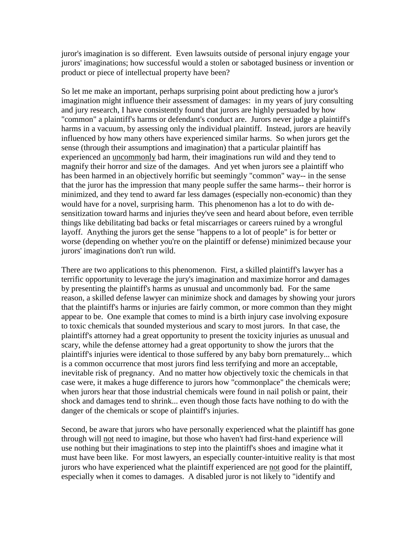juror's imagination is so different. Even lawsuits outside of personal injury engage your jurors' imaginations; how successful would a stolen or sabotaged business or invention or product or piece of intellectual property have been?

So let me make an important, perhaps surprising point about predicting how a juror's imagination might influence their assessment of damages: in my years of jury consulting and jury research, I have consistently found that jurors are highly persuaded by how "common" a plaintiff's harms or defendant's conduct are. Jurors never judge a plaintiff's harms in a vacuum, by assessing only the individual plaintiff. Instead, jurors are heavily influenced by how many others have experienced similar harms. So when jurors get the sense (through their assumptions and imagination) that a particular plaintiff has experienced an *uncommonly* bad harm, their imaginations run wild and they tend to magnify their horror and size of the damages. And yet when jurors see a plaintiff who has been harmed in an objectively horrific but seemingly "common" way-- in the sense that the juror has the impression that many people suffer the same harms-- their horror is minimized, and they tend to award far less damages (especially non-economic) than they would have for a novel, surprising harm. This phenomenon has a lot to do with desensitization toward harms and injuries they've seen and heard about before, even terrible things like debilitating bad backs or fetal miscarriages or careers ruined by a wrongful layoff. Anything the jurors get the sense "happens to a lot of people" is for better or worse (depending on whether you're on the plaintiff or defense) minimized because your jurors' imaginations don't run wild.

There are two applications to this phenomenon. First, a skilled plaintiff's lawyer has a terrific opportunity to leverage the jury's imagination and maximize horror and damages by presenting the plaintiff's harms as unusual and uncommonly bad. For the same reason, a skilled defense lawyer can minimize shock and damages by showing your jurors that the plaintiff's harms or injuries are fairly common, or more common than they might appear to be. One example that comes to mind is a birth injury case involving exposure to toxic chemicals that sounded mysterious and scary to most jurors. In that case, the plaintiff's attorney had a great opportunity to present the toxicity injuries as unusual and scary, while the defense attorney had a great opportunity to show the jurors that the plaintiff's injuries were identical to those suffered by any baby born prematurely... which is a common occurrence that most jurors find less terrifying and more an acceptable, inevitable risk of pregnancy. And no matter how objectively toxic the chemicals in that case were, it makes a huge difference to jurors how "commonplace" the chemicals were; when jurors hear that those industrial chemicals were found in nail polish or paint, their shock and damages tend to shrink... even though those facts have nothing to do with the danger of the chemicals or scope of plaintiff's injuries.

Second, be aware that jurors who have personally experienced what the plaintiff has gone through will not need to imagine, but those who haven't had first-hand experience will use nothing but their imaginations to step into the plaintiff's shoes and imagine what it must have been like. For most lawyers, an especially counter-intuitive reality is that most jurors who have experienced what the plaintiff experienced are not good for the plaintiff, especially when it comes to damages. A disabled juror is not likely to "identify and